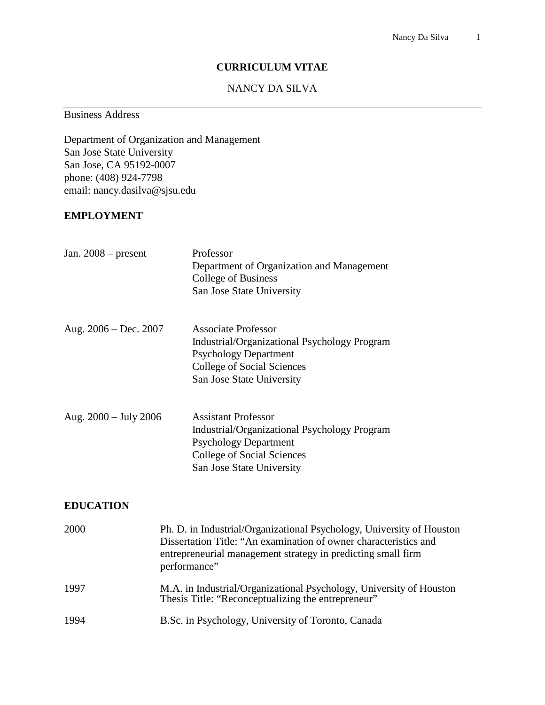#### **CURRICULUM VITAE**

# NANCY DA SILVA

Business Address

Department of Organization and Management San Jose State University San Jose, CA 95192-0007 phone: (408) 924-7798 email: nancy.dasilva@sjsu.edu

#### **EMPLOYMENT**

| Jan. $2008$ – present   | Professor<br>Department of Organization and Management<br><b>College of Business</b><br>San Jose State University                                                                                                         |  |  |
|-------------------------|---------------------------------------------------------------------------------------------------------------------------------------------------------------------------------------------------------------------------|--|--|
| Aug. $2006 - Dec. 2007$ | <b>Associate Professor</b><br>Industrial/Organizational Psychology Program<br><b>Psychology Department</b><br><b>College of Social Sciences</b><br>San Jose State University                                              |  |  |
| Aug. $2000 - July 2006$ | <b>Assistant Professor</b><br><b>Industrial/Organizational Psychology Program</b><br><b>Psychology Department</b><br><b>College of Social Sciences</b><br>San Jose State University                                       |  |  |
| <b>EDUCATION</b>        |                                                                                                                                                                                                                           |  |  |
| 2000                    | Ph. D. in Industrial/Organizational Psychology, University of Houston<br>Dissertation Title: "An examination of owner characteristics and<br>entrepreneurial management strategy in predicting small firm<br>performance" |  |  |
| 1997                    | M.A. in Industrial/Organizational Psychology, University of Houston<br>Thesis Title: "Reconceptualizing the entrepreneur"                                                                                                 |  |  |
| 1994                    | B.Sc. in Psychology, University of Toronto, Canada                                                                                                                                                                        |  |  |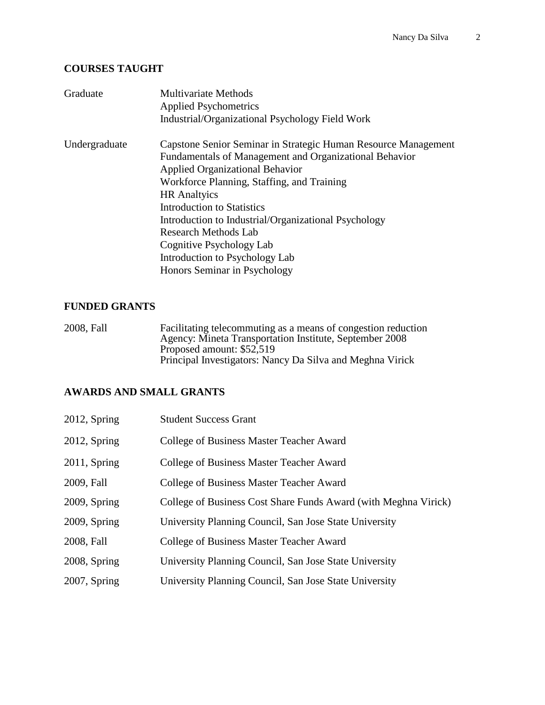### **COURSES TAUGHT**

| Graduate      | <b>Multivariate Methods</b><br><b>Applied Psychometrics</b><br>Industrial/Organizational Psychology Field Work                                                                                                                                                                                                                                                                                                                                             |  |  |  |
|---------------|------------------------------------------------------------------------------------------------------------------------------------------------------------------------------------------------------------------------------------------------------------------------------------------------------------------------------------------------------------------------------------------------------------------------------------------------------------|--|--|--|
| Undergraduate | Capstone Senior Seminar in Strategic Human Resource Management<br>Fundamentals of Management and Organizational Behavior<br><b>Applied Organizational Behavior</b><br>Workforce Planning, Staffing, and Training<br><b>HR</b> Analtyics<br><b>Introduction to Statistics</b><br>Introduction to Industrial/Organizational Psychology<br>Research Methods Lab<br>Cognitive Psychology Lab<br>Introduction to Psychology Lab<br>Honors Seminar in Psychology |  |  |  |

# **FUNDED GRANTS**

2008, Fall Facilitating telecommuting as a means of congestion reduction Agency: Mineta Transportation Institute, September 2008 Proposed amount: \$52,519 Principal Investigators: Nancy Da Silva and Meghna Virick

### **AWARDS AND SMALL GRANTS**

| $2012$ , Spring | <b>Student Success Grant</b>                                    |
|-----------------|-----------------------------------------------------------------|
| $2012$ , Spring | <b>College of Business Master Teacher Award</b>                 |
| $2011$ , Spring | College of Business Master Teacher Award                        |
| 2009, Fall      | College of Business Master Teacher Award                        |
| 2009, Spring    | College of Business Cost Share Funds Award (with Meghna Virick) |
| 2009, Spring    | University Planning Council, San Jose State University          |
| 2008, Fall      | <b>College of Business Master Teacher Award</b>                 |
| 2008, Spring    | University Planning Council, San Jose State University          |
| $2007$ , Spring | University Planning Council, San Jose State University          |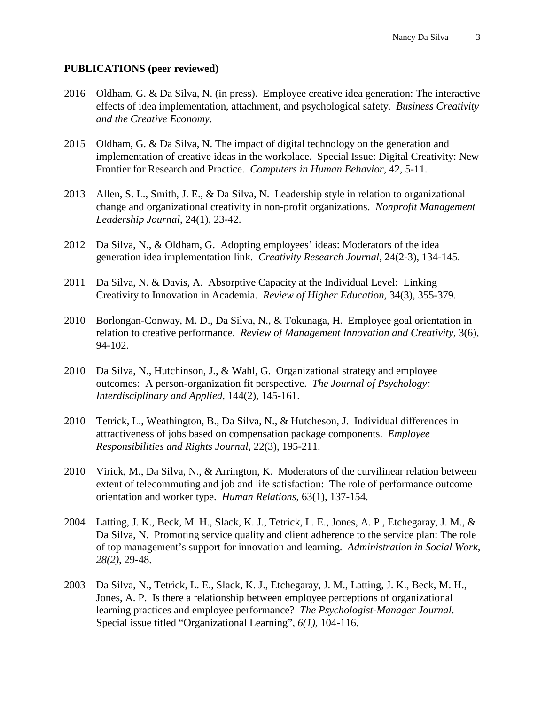### **PUBLICATIONS (peer reviewed)**

- 2016 Oldham, G. & Da Silva, N. (in press). Employee creative idea generation: The interactive effects of idea implementation, attachment, and psychological safety. *Business Creativity and the Creative Economy*.
- 2015 Oldham, G. & Da Silva, N. The impact of digital technology on the generation and implementation of creative ideas in the workplace. Special Issue: Digital Creativity: New Frontier for Research and Practice. *Computers in Human Behavior*, 42, 5-11.
- 2013 Allen, S. L., Smith, J. E., & Da Silva, N. Leadership style in relation to organizational change and organizational creativity in non-profit organizations. *Nonprofit Management Leadership Journal*, 24(1), 23-42.
- 2012 Da Silva, N., & Oldham, G. Adopting employees' ideas: Moderators of the idea generation idea implementation link. *Creativity Research Journal*, 24(2-3), 134-145.
- 2011 Da Silva, N. & Davis, A. Absorptive Capacity at the Individual Level: Linking Creativity to Innovation in Academia. *Review of Higher Education,* 34(3), 355-379*.*
- 2010 Borlongan-Conway, M. D., Da Silva, N., & Tokunaga, H. Employee goal orientation in relation to creative performance. *Review of Management Innovation and Creativity*, 3(6), 94-102.
- 2010 Da Silva, N., Hutchinson, J., & Wahl, G. Organizational strategy and employee outcomes: A person-organization fit perspective. *The Journal of Psychology: Interdisciplinary and Applied*, 144(2), 145-161.
- 2010 Tetrick, L., Weathington, B., Da Silva, N., & Hutcheson, J. Individual differences in attractiveness of jobs based on compensation package components. *Employee Responsibilities and Rights Journal*, 22(3), 195-211.
- 2010 Virick, M., Da Silva, N., & Arrington, K. Moderators of the curvilinear relation between extent of telecommuting and job and life satisfaction: The role of performance outcome orientation and worker type. *Human Relations*, 63(1), 137-154.
- 2004 Latting, J. K., Beck, M. H., Slack, K. J., Tetrick, L. E., Jones, A. P., Etchegaray, J. M., & Da Silva, N. Promoting service quality and client adherence to the service plan: The role of top management's support for innovation and learning. *Administration in Social Work*, *28(2),* 29-48.
- 2003 Da Silva, N., Tetrick, L. E., Slack, K. J., Etchegaray, J. M., Latting, J. K., Beck, M. H., Jones, A. P. Is there a relationship between employee perceptions of organizational learning practices and employee performance? *The Psychologist-Manager Journal*. Special issue titled "Organizational Learning", *6(1),* 104-116.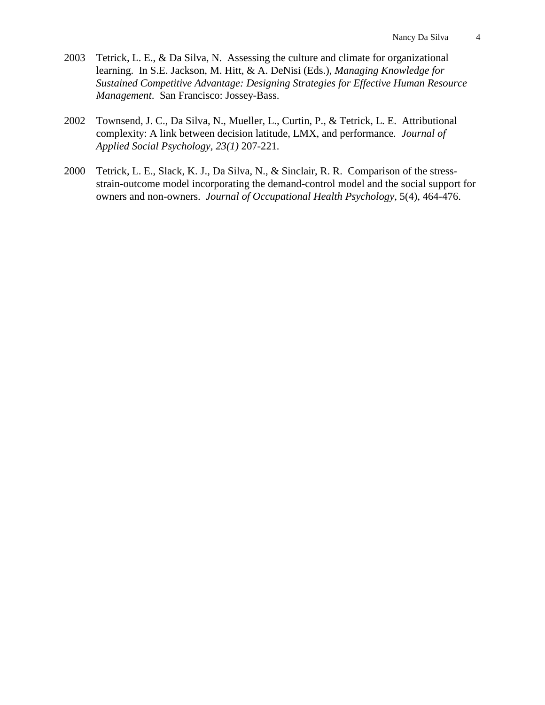- 2003 Tetrick, L. E., & Da Silva, N. Assessing the culture and climate for organizational learning. In S.E. Jackson, M. Hitt, & A. DeNisi (Eds.), *Managing Knowledge for Sustained Competitive Advantage: Designing Strategies for Effective Human Resource Management*. San Francisco: Jossey-Bass.
- 2002 Townsend, J. C., Da Silva, N., Mueller, L., Curtin, P., & Tetrick, L. E. Attributional complexity: A link between decision latitude, LMX, and performance*. Journal of Applied Social Psychology, 23(1)* 207-221*.*
- 2000 Tetrick, L. E., Slack, K. J., Da Silva, N., & Sinclair, R. R. Comparison of the stressstrain-outcome model incorporating the demand-control model and the social support for owners and non-owners. *Journal of Occupational Health Psychology*, 5(4), 464-476.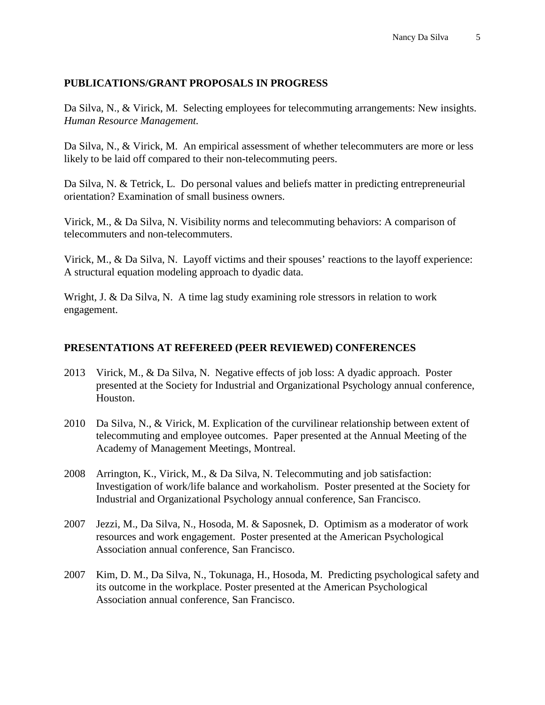# **PUBLICATIONS/GRANT PROPOSALS IN PROGRESS**

Da Silva, N., & Virick, M. Selecting employees for telecommuting arrangements: New insights. *Human Resource Management.*

Da Silva, N., & Virick, M. An empirical assessment of whether telecommuters are more or less likely to be laid off compared to their non-telecommuting peers.

Da Silva, N. & Tetrick, L. Do personal values and beliefs matter in predicting entrepreneurial orientation? Examination of small business owners.

Virick, M., & Da Silva, N. Visibility norms and telecommuting behaviors: A comparison of telecommuters and non-telecommuters.

Virick, M., & Da Silva, N. Layoff victims and their spouses' reactions to the layoff experience: A structural equation modeling approach to dyadic data.

Wright, J. & Da Silva, N. A time lag study examining role stressors in relation to work engagement.

# **PRESENTATIONS AT REFEREED (PEER REVIEWED) CONFERENCES**

- 2013 Virick, M., & Da Silva, N. Negative effects of job loss: A dyadic approach. Poster presented at the Society for Industrial and Organizational Psychology annual conference, Houston.
- 2010 Da Silva, N., & Virick, M. Explication of the curvilinear relationship between extent of telecommuting and employee outcomes. Paper presented at the Annual Meeting of the Academy of Management Meetings, Montreal.
- 2008 Arrington, K., Virick, M., & Da Silva, N. Telecommuting and job satisfaction: Investigation of work/life balance and workaholism. Poster presented at the Society for Industrial and Organizational Psychology annual conference, San Francisco.
- 2007 Jezzi, M., Da Silva, N., Hosoda, M. & Saposnek, D. Optimism as a moderator of work resources and work engagement. Poster presented at the American Psychological Association annual conference, San Francisco.
- 2007 Kim, D. M., Da Silva, N., Tokunaga, H., Hosoda, M. Predicting psychological safety and its outcome in the workplace. Poster presented at the American Psychological Association annual conference, San Francisco.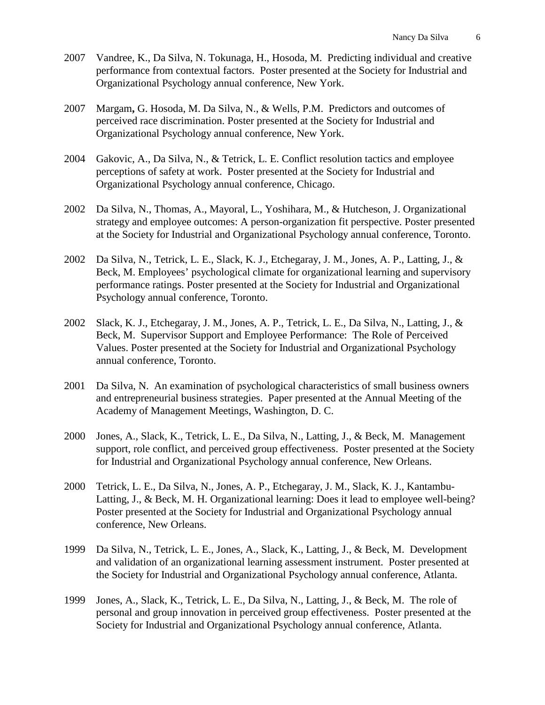- 2007 Vandree, K., Da Silva, N. Tokunaga, H., Hosoda, M. Predicting individual and creative performance from contextual factors. Poster presented at the Society for Industrial and Organizational Psychology annual conference, New York.
- 2007 Margam**,** G. Hosoda, M. Da Silva, N., & Wells, P.M. Predictors and outcomes of perceived race discrimination. Poster presented at the Society for Industrial and Organizational Psychology annual conference, New York.
- 2004 Gakovic, A., Da Silva, N., & Tetrick, L. E. Conflict resolution tactics and employee perceptions of safety at work. Poster presented at the Society for Industrial and Organizational Psychology annual conference, Chicago.
- 2002 Da Silva, N., Thomas, A., Mayoral, L., Yoshihara, M., & Hutcheson, J. Organizational strategy and employee outcomes: A person-organization fit perspective. Poster presented at the Society for Industrial and Organizational Psychology annual conference, Toronto.
- 2002 Da Silva, N., Tetrick, L. E., Slack, K. J., Etchegaray, J. M., Jones, A. P., Latting, J., & Beck, M. Employees' psychological climate for organizational learning and supervisory performance ratings. Poster presented at the Society for Industrial and Organizational Psychology annual conference, Toronto.
- 2002 Slack, K. J., Etchegaray, J. M., Jones, A. P., Tetrick, L. E., Da Silva, N., Latting, J., & Beck, M. Supervisor Support and Employee Performance: The Role of Perceived Values. Poster presented at the Society for Industrial and Organizational Psychology annual conference, Toronto.
- 2001 Da Silva, N. An examination of psychological characteristics of small business owners and entrepreneurial business strategies. Paper presented at the Annual Meeting of the Academy of Management Meetings, Washington, D. C.
- 2000 Jones, A., Slack, K., Tetrick, L. E., Da Silva, N., Latting, J., & Beck, M. Management support, role conflict, and perceived group effectiveness. Poster presented at the Society for Industrial and Organizational Psychology annual conference, New Orleans.
- 2000 Tetrick, L. E., Da Silva, N., Jones, A. P., Etchegaray, J. M., Slack, K. J., Kantambu-Latting, J., & Beck, M. H. Organizational learning: Does it lead to employee well-being? Poster presented at the Society for Industrial and Organizational Psychology annual conference, New Orleans.
- 1999 Da Silva, N., Tetrick, L. E., Jones, A., Slack, K., Latting, J., & Beck, M. Development and validation of an organizational learning assessment instrument. Poster presented at the Society for Industrial and Organizational Psychology annual conference, Atlanta.
- 1999 Jones, A., Slack, K., Tetrick, L. E., Da Silva, N., Latting, J., & Beck, M. The role of personal and group innovation in perceived group effectiveness. Poster presented at the Society for Industrial and Organizational Psychology annual conference, Atlanta.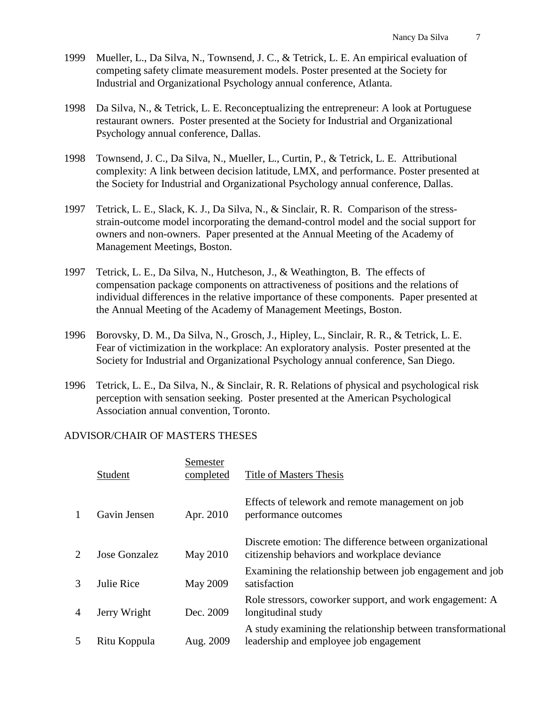- 1999 Mueller, L., Da Silva, N., Townsend, J. C., & Tetrick, L. E. An empirical evaluation of competing safety climate measurement models. Poster presented at the Society for Industrial and Organizational Psychology annual conference, Atlanta.
- 1998 Da Silva, N., & Tetrick, L. E. Reconceptualizing the entrepreneur: A look at Portuguese restaurant owners. Poster presented at the Society for Industrial and Organizational Psychology annual conference, Dallas.
- 1998 Townsend, J. C., Da Silva, N., Mueller, L., Curtin, P., & Tetrick, L. E. Attributional complexity: A link between decision latitude, LMX, and performance. Poster presented at the Society for Industrial and Organizational Psychology annual conference, Dallas.
- 1997 Tetrick, L. E., Slack, K. J., Da Silva, N., & Sinclair, R. R. Comparison of the stressstrain-outcome model incorporating the demand-control model and the social support for owners and non-owners. Paper presented at the Annual Meeting of the Academy of Management Meetings, Boston.
- 1997 Tetrick, L. E., Da Silva, N., Hutcheson, J., & Weathington, B. The effects of compensation package components on attractiveness of positions and the relations of individual differences in the relative importance of these components. Paper presented at the Annual Meeting of the Academy of Management Meetings, Boston.
- 1996 Borovsky, D. M., Da Silva, N., Grosch, J., Hipley, L., Sinclair, R. R., & Tetrick, L. E. Fear of victimization in the workplace: An exploratory analysis. Poster presented at the Society for Industrial and Organizational Psychology annual conference, San Diego.
- 1996 Tetrick, L. E., Da Silva, N., & Sinclair, R. R. Relations of physical and psychological risk perception with sensation seeking. Poster presented at the American Psychological Association annual convention, Toronto.

#### ADVISOR/CHAIR OF MASTERS THESES

|              | Student       | Semester<br>completed | <b>Title of Masters Thesis</b>                                                                          |
|--------------|---------------|-----------------------|---------------------------------------------------------------------------------------------------------|
| $\mathbf{1}$ | Gavin Jensen  | Apr. 2010             | Effects of telework and remote management on job<br>performance outcomes                                |
| 2            | Jose Gonzalez | May 2010              | Discrete emotion: The difference between organizational<br>citizenship behaviors and workplace deviance |
| 3            | Julie Rice    | <b>May 2009</b>       | Examining the relationship between job engagement and job<br>satisfaction                               |
| 4            | Jerry Wright  | Dec. 2009             | Role stressors, coworker support, and work engagement: A<br>longitudinal study                          |
| 5            | Ritu Koppula  | Aug. 2009             | A study examining the relationship between transformational<br>leadership and employee job engagement   |